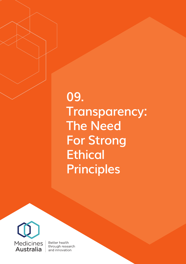# **09. Transparency: The Need For Strong Ethical Principles**



Better health through research and innovation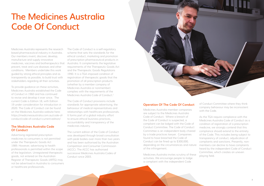# **The Medicines Australia Code Of Conduct**

Medicines Australia represents the research based pharmaceutical industry in Australia. Our members invent, discover, develop, manufacture and supply innovative medicines, vaccines and biotherapeutics that prevent, treat and cure diseases and other conditions. Members undertake this work guided by strong ethical principles and as transparently as possible, to build trust with stakeholders regarding all their activities.

The Code of Conduct is a self-regulatory scheme that sets the standards for the ethical conduct, marketing and promotion of prescription pharmaceutical products in Australia. It complements the legislative requirements of the Therapeutic Goods Act and the Therapeutic Goods Regulations 1990. It is a TGA imposed condition of registration of therapeutic goods that the promotion of all prescription products (whether by a member company of Medicines Australia or nonmember) complies with the requirements of the Medicines Australia Code of Conduct.<sup>1</sup>

To provide guidance on these activities, Medicines Australia established the Code of Conduct in 1960 and has continued to revise and develop it ever since. The current Code is Edition 18, with Edition 19 under consideration for introduction in 2020. The Code of Conduct can be found on the Medicines Australia website here: https://medicinesaustralia.com.au/code-ofconduct/code-of-conduct-current-edition/

#### **The Medicines Australia Code Of Conduct**

Advertising registered prescription medicines to consumers is not permitted under the Therapeutic Goods Act 1989. However, advertising to health professionals is permitted within the scope of the legislation. Unregistered therapeutic goods, not entered on the Australian Register of Therapeutic Goods (ARTG) may not be advertised in Australia to consumers or healthcare professionals.

The Code of Conduct provisions include standards for appropriate advertising, the behaviour of medical representatives and relationships with healthcare professionals. It forms part of a global industry effort to ensure ethical business practices, accountability and transparency of the medicines industry.

The current edition of the Code of Conduct was developed through broad consultation with peak bodies over more than two years and has been authorised by the Australian Competition and Consumer Commission (ACCC). The ACCC has authorised successive Medicines Australia Codes of Conduct since 2003.



### **Operation Of The Code Of Conduct**

Medicines Australia member companies are subject to the Medicines Australia Code of Conduct. Where a breach of the Code of Conduct is suspected, a complaint can be lodged with the Code of Conduct Committee. The Code of Conduct Committee is an independent body chaired by a trade practices lawyer. Companies found to have breached the Code of Conduct can be fined up to \$300,000, depending on the circumstances and nature members can decline to have complaints of the infringement.

Medicines Australia invites scrutiny of these activities. We encourage people to lodge a complaint with the independent Code

of Conduct Committee where they think company behaviour may be inconsistent with the Code.

As the TGA require compliance with the Medicines Australia Code of Conduct as a condition of registration of a prescription medicine, we strongly contend that this compliance should extend to the entirety of the Code. This includes being subject to transparency of conduct, adjudication of complaints and sanctions. Presently, nonheard by the independent Code of Conduct Committee, which creates an uneven playing field.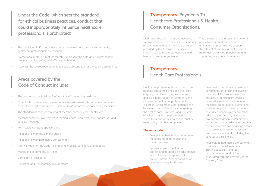- The provision of gifts and inducements, entertainment, and lavish hospitality to healthcare professionals are banned
- Promotional materials that inaccurately represent the data about a prescription product's quality, safety and efficacy are banned
- Activities that encourage patients to seek a prescription for a medicine are banned.

Medicines Australia is a strong advocate for transparency. This includes transparency of payments and other transfers of value provided by the Australian medicines industry to healthcare professionals and health consumer organisations. This disclosure should assist the general public to better understand the nature and extent of programs we support in the interest of improving quality use of medicines, advancing patient care and supporting our local communities.

- Fees paid to healthcare professional consultants, or to their employers on their behalf, for their services. This includes, all consultancy services provided in relation to educational meetings, preparation of promotional materials or product position papers, assistance with training or any other advice to the company. It includes any accommodation and/or airfares associated with providing the consulting service. This does not include payments to consultants in relation to research and development work, including the conduct of clinical trials.
- Fees paid to healthcare professionals as Advisory Board members. This includes all sitting fees, accommodation and airfares associated with the activities of the Advisory Board.

Healthcare professionals help to educate patients about medicines and their safe ongoing use. Exchanging knowledge and skills leads to better treatments and increases a healthcare professional's expertise, which means that patients can be even more confident they are getting the best of care. Payments and transfers of value to healthcare professionals which form part of this exchange must be reported by member companies.

#### **These include:**

- Fees paid to healthcare professionals for speaking at an educational meeting or event.
- Sponsorship of a healthcare professional to attend an educational event. Reportable sponsorships are any airfare, accommodation or registration fees for the event.

**Under the Code, which sets the standard for ethical business practices, conduct that could inappropriately influence healthcare professionals is prohibited:** 

# **Areas covered by the Code of Conduct include:**

- The nature and availability of information of concerning medicines
- Acceptable and unacceptable material advertisements, brand name reminders, competitions, gifts and offers – used to discuss information concerning medicines
- The standard of conduct required of Member company representatives
- Member company involvement in medical educational symposia, congresses and satellite meetings
- Permissible company sponsorships
- Relationship with the general public
- Relationship with healthcare professionals
- Administration of the Code complaints process, sanctions and appeals
- Monitoring of company activities
- Compliance Procedures
- Reporting and transparency requirements.

# **Transparency: Health Care Professionals.**

# **Transparency: Payments To Healthcare Professionals & Health Consumer Organisations.**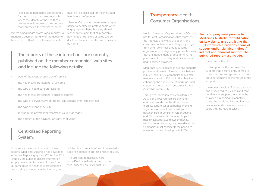To increase the ease of access to these reports, Medicines Australia has developed a Central Reporting System (CRS). The CRS enables the public to access information on payments and transfers of value from all companies to healthcare professionals, from a single location via the internet, and

will be able to search information related to specific healthcare professionals if desired.

The CRS can be accessed here www.DisclosureAustralia.com.au and was launched on 30 August 2019.

Health Consumer Organisations (HCOs) are not-for-profit organisations that represent the interests and views of patients and consumers of healthcare. They may range from small volunteer groups to large organisations, and generally promote views that are independent of government, the pharmaceutical industry and professional health service providers.

Medicines Australia recognises and supports positive and beneficial relationships between industry and HCOs. Companies may enter relationships with HCOs with the objective of enhancing the quality use of medicines and supporting better health outcomes for the Australian community.

- the name of the HCO; and
- a description of the nature of the support that is sufficiently complete to enable the average reader to form an understanding of the nature of the support; and
- the monetary value of financial support and of invoiced costs. For significant nonfinancial support that cannot be assigned a meaningful monetary value, the published information must describe clearly the non-monetary value that the HCO receives.

Fees paid to healthcare professionals for the purpose of market research where the identity of the healthcare professional is known to the company that contracted the market research.

Where a healthcare professional requests a monetary payment for any of the above to be made to a third party, these payments

> Through collaboration between Medicines Australia, the Consumers Health Forum of Australia and other health consumer organisations, a set of guidelines Working Together – A Guide to relationships between Health Consumer Organisations and Pharmaceutical Companies https:// medicinesaustralia.com.au/community/ working-together-guide/ has been developed. Companies must consider these principles when forming relationships with HCOs.

#### **Each company must provide to Medicines Australia for publication on its website, a report listing the HCOs to which it provides financial support and/or significant direct/ indirect non-financial support. The published report must include:**

must still be disclosed for the individual healthcare professional.

Member Companies are required to give notice to healthcare professionals when engaging with them that they should reasonably expect that all reportable payments or transfers of value will be disclosed for each healthcare professional, by name.

# **The reports of these interactions are currently published on the member companies' web sites and include the following details:**

- Date of the event or provision of service
- The healthcare professional's full name
- The type of healthcare professional
- The healthcare professional's practice address
- The type of service (Advisory Board, educational event speaker etc)
- The type of event or activity
- To whom the payment or transfer of value was made
- The amount of the payment or transfer of value

### **Centralised Reporting System.**

# **Transparency: Health Consumer Organisations.**